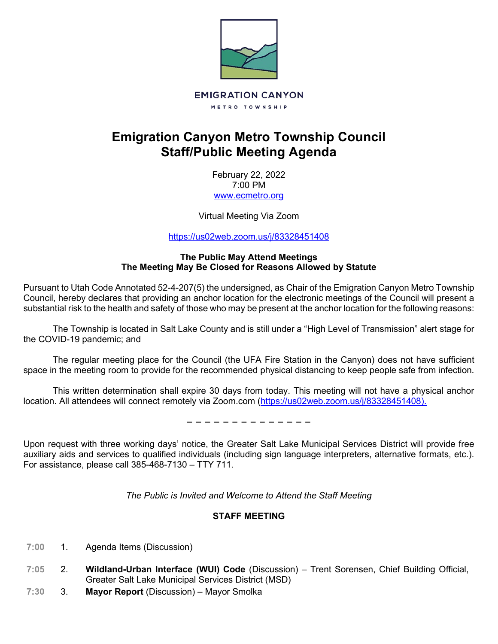

# **Emigration Canyon Metro Township Council Staff/Public Meeting Agenda**

February 22, 2022 7:00 PM [www.ecmetro.org](http://www.ecmetro.org/)

Virtual Meeting Via Zoom

<https://us02web.zoom.us/j/83328451408>

# **The Public May Attend Meetings The Meeting May Be Closed for Reasons Allowed by Statute**

Pursuant to Utah Code Annotated 52-4-207(5) the undersigned, as Chair of the Emigration Canyon Metro Township Council, hereby declares that providing an anchor location for the electronic meetings of the Council will present a substantial risk to the health and safety of those who may be present at the anchor location for the following reasons:

The Township is located in Salt Lake County and is still under a "High Level of Transmission" alert stage for the COVID-19 pandemic; and

The regular meeting place for the Council (the UFA Fire Station in the Canyon) does not have sufficient space in the meeting room to provide for the recommended physical distancing to keep people safe from infection.

This written determination shall expire 30 days from today. This meeting will not have a physical anchor location. All attendees will connect remotely via Zoom.com [\(https://us02web.zoom.us/j/83328451408\)](https://us02web.zoom.us/j/83328451408).

− − − − − − − − − − − − − −

Upon request with three working days' notice, the Greater Salt Lake Municipal Services District will provide free auxiliary aids and services to qualified individuals (including sign language interpreters, alternative formats, etc.). For assistance, please call 385-468-7130 – TTY 711.

*The Public is Invited and Welcome to Attend the Staff Meeting*

# **STAFF MEETING**

- $7:00$ 1. Agenda Items (Discussion)
- 2. **Wildland-Urban Interface (WUI) Code** (Discussion) Trent Sorensen, Chief Building Official,  $7:05$ Greater Salt Lake Municipal Services District (MSD)
- $7:30$ 3. **Mayor Report** (Discussion) – Mayor Smolka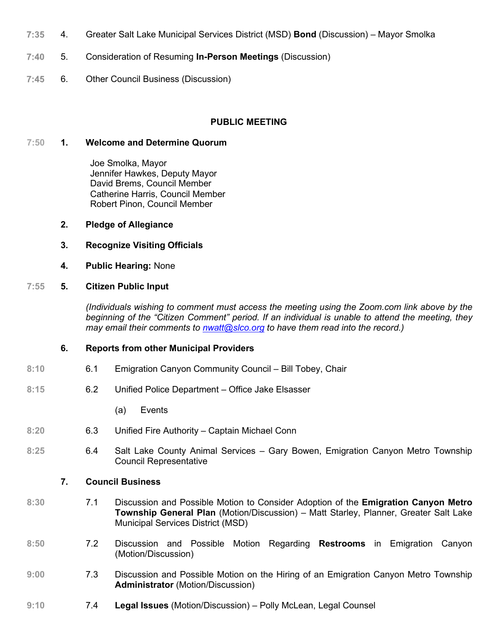- $7:35$ 4. Greater Salt Lake Municipal Services District (MSD) **Bond** (Discussion) – Mayor Smolka
- $7:40$ 5. Consideration of Resuming **In-Person Meetings** (Discussion)
- $7:45$ 6. Other Council Business (Discussion)

## **PUBLIC MEETING**

#### **7:50 1. Welcome and Determine Quorum**

 Joe Smolka, Mayor Jennifer Hawkes, Deputy Mayor David Brems, Council Member Catherine Harris, Council Member Robert Pinon, Council Member

- **2. Pledge of Allegiance**
- **3. Recognize Visiting Officials**
- **4. Public Hearing:** None

## **7:55 5. Citizen Public Input**

*(Individuals wishing to comment must access the meeting using the Zoom.com link above by the beginning of the "Citizen Comment" period. If an individual is unable to attend the meeting, they may email their comments to [nwatt@slco.org](mailto:nwatt@slco.org) to have them read into the record.)*

#### **6. Reports from other Municipal Providers**

- **8:10** 6.1 Emigration Canyon Community Council Bill Tobey, Chair
- **8:15** 6.2 Unified Police Department Office Jake Elsasser
	- (a) Events
- **8:20** 6.3 Unified Fire Authority Captain Michael Conn
- **8:25** 6.4 Salt Lake County Animal Services Gary Bowen, Emigration Canyon Metro Township Council Representative

#### **7. Council Business**

- **8:30** 7.1 Discussion and Possible Motion to Consider Adoption of the **Emigration Canyon Metro Township General Plan** (Motion/Discussion) – Matt Starley, Planner, Greater Salt Lake Municipal Services District (MSD)
- **8:50** 7.2 Discussion and Possible Motion Regarding **Restrooms** in Emigration Canyon (Motion/Discussion)
- **9:00** 7.3 Discussion and Possible Motion on the Hiring of an Emigration Canyon Metro Township **Administrator** (Motion/Discussion)
- **9:10** 7.4 **Legal Issues** (Motion/Discussion) Polly McLean, Legal Counsel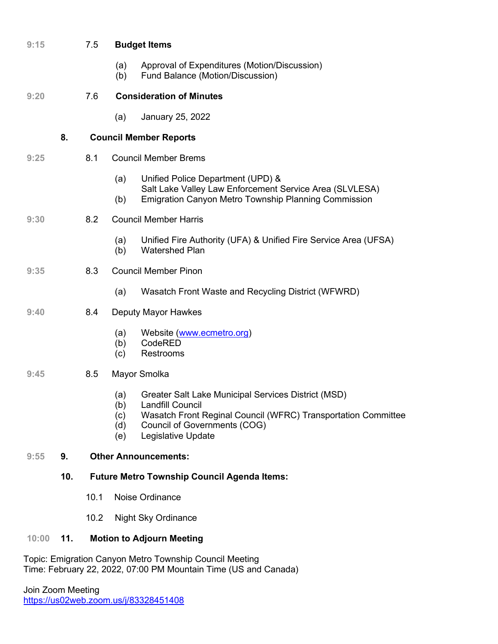| 9:15  |     | 7.5                                                | <b>Budget Items</b>                                                                                                                                                                                                                             |  |  |
|-------|-----|----------------------------------------------------|-------------------------------------------------------------------------------------------------------------------------------------------------------------------------------------------------------------------------------------------------|--|--|
|       |     |                                                    | Approval of Expenditures (Motion/Discussion)<br>(a)<br>(b)<br>Fund Balance (Motion/Discussion)                                                                                                                                                  |  |  |
| 9:20  |     | 7.6                                                | <b>Consideration of Minutes</b>                                                                                                                                                                                                                 |  |  |
|       |     |                                                    | January 25, 2022<br>(a)                                                                                                                                                                                                                         |  |  |
|       | 8.  |                                                    | <b>Council Member Reports</b>                                                                                                                                                                                                                   |  |  |
| 9:25  |     | 8.1                                                | <b>Council Member Brems</b>                                                                                                                                                                                                                     |  |  |
|       |     |                                                    | (a)<br>Unified Police Department (UPD) &<br>Salt Lake Valley Law Enforcement Service Area (SLVLESA)                                                                                                                                             |  |  |
|       |     |                                                    | <b>Emigration Canyon Metro Township Planning Commission</b><br>(b)                                                                                                                                                                              |  |  |
| 9:30  |     | 8.2                                                | <b>Council Member Harris</b>                                                                                                                                                                                                                    |  |  |
|       |     |                                                    | Unified Fire Authority (UFA) & Unified Fire Service Area (UFSA)<br>(a)<br><b>Watershed Plan</b><br>(b)                                                                                                                                          |  |  |
| 9:35  |     | 8.3                                                | <b>Council Member Pinon</b>                                                                                                                                                                                                                     |  |  |
|       |     |                                                    | Wasatch Front Waste and Recycling District (WFWRD)<br>(a)                                                                                                                                                                                       |  |  |
| 9:40  |     | 8.4                                                | Deputy Mayor Hawkes                                                                                                                                                                                                                             |  |  |
|       |     |                                                    | Website (www.ecmetro.org)<br>(a)<br>CodeRED<br>(b)<br>(c)<br>Restrooms                                                                                                                                                                          |  |  |
| 9:45  |     | 8.5                                                | Mayor Smolka                                                                                                                                                                                                                                    |  |  |
|       |     |                                                    | Greater Salt Lake Municipal Services District (MSD)<br>(a)<br>(b)<br><b>Landfill Council</b><br>Wasatch Front Reginal Council (WFRC) Transportation Committee<br>(c)<br><b>Council of Governments (COG)</b><br>(d)<br>Legislative Update<br>(e) |  |  |
| 9:55  | 9.  | <b>Other Announcements:</b>                        |                                                                                                                                                                                                                                                 |  |  |
|       | 10. | <b>Future Metro Township Council Agenda Items:</b> |                                                                                                                                                                                                                                                 |  |  |
|       |     | 10.1                                               | Noise Ordinance                                                                                                                                                                                                                                 |  |  |
|       |     | 10.2                                               | <b>Night Sky Ordinance</b>                                                                                                                                                                                                                      |  |  |
| 10:00 | 11. |                                                    | <b>Motion to Adjourn Meeting</b>                                                                                                                                                                                                                |  |  |
|       |     |                                                    | Topic: Emigration Canyon Metro Township Council Meeting                                                                                                                                                                                         |  |  |

Time: February 22, 2022, 07:00 PM Mountain Time (US and Canada)

Join Zoom Meeting <https://us02web.zoom.us/j/83328451408>